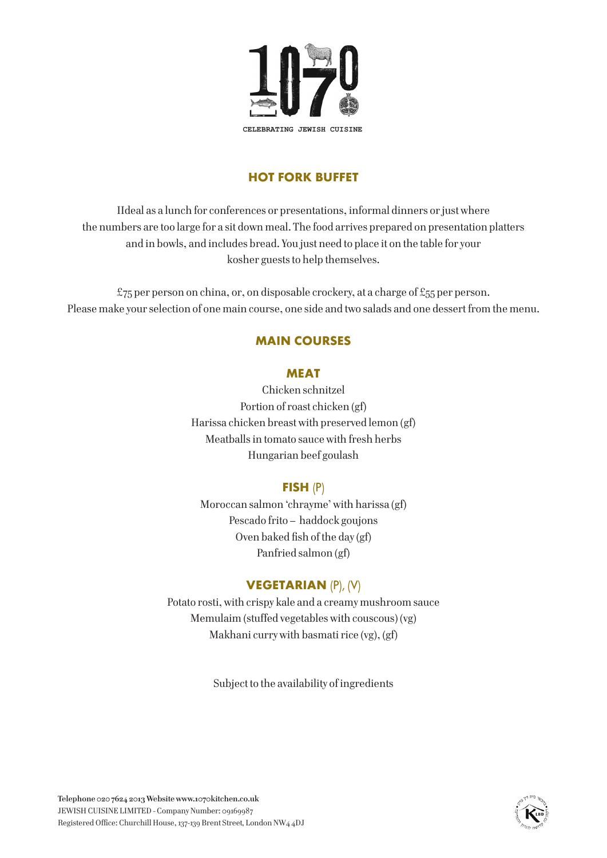

# **HOT FORK BUFFET**

IIdeal as a lunch for conferences or presentations, informal dinners or just where the numbers are too large for a sit down meal. The food arrives prepared on presentation platters and in bowls, and includes bread. You just need to place it on the table for your kosher guests to help themselves.

 $£75$  per person on china, or, on disposable crockery, at a charge of £55 per person. Please make your selection of one main course, one side and two salads and one dessert from the menu.

## **MAIN COURSES**

#### **MEAT**

Chicken schnitzel Portion of roast chicken (gf) Harissa chicken breast with preserved lemon (gf) Meatballs in tomato sauce with fresh herbs Hungarian beef goulash

## **FISH** (P)

Moroccan salmon 'chrayme' with harissa (gf) Pescado frito – haddock goujons Oven baked fish of the day (gf) Panfried salmon (gf)

# **VEGETARIAN** (P), (V)

Potato rosti, with crispy kale and a creamy mushroom sauce Memulaim (stuffed vegetables with couscous) (vg) Makhani curry with basmati rice (vg), (gf)

Subject to the availability of ingredients